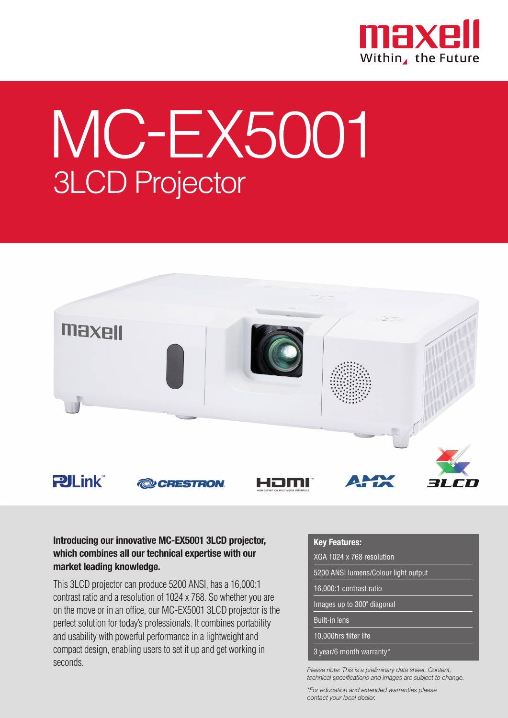

## MC-EX5001 3LCD Projector



## **Introducing our innovative MC-EX5001 3LCD projector, which combines all our technical expertise with our market leading knowledge.**

This 3LCD projector can produce 5200 ANSI, has a 16,000:1 contrast ratio and a resolution of 1024 x 768. So whether you are on the move or in an office, our MC-EX5001 3LCD projector is the perfect solution for today's professionals. It combines portability and usability with powerful performance in a lightweight and compact design, enabling users to set it up and get working in seconds.

## **Key Features:**

| XGA 1024 x 768 resolution            |  |  |
|--------------------------------------|--|--|
| 5200 ANSI lumens/Colour light output |  |  |
| 16,000:1 contrast ratio              |  |  |
| Images up to 300" diagonal           |  |  |
| <b>Built-in lens</b>                 |  |  |

10,000hrs filter life

3 year/6 month warranty\*

*Please note: This is a preliminary data sheet. Content, technical specifications and images are subject to change.*

*\*For education and extended warranties please contact your local dealer.*